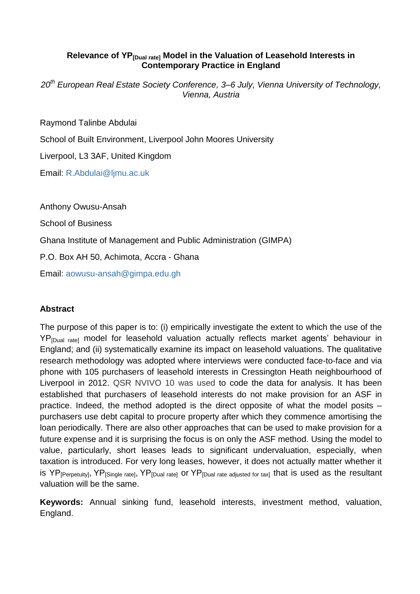#### **Relevance of YP[Dual rate] Model in the Valuation of Leasehold Interests in Contemporary Practice in England**

*20 th European Real Estate Society Conference, 3–6 July, [Vienna University of Technology,](http://www.tuwien.ac.at/tuwien_home/EN/) Vienna, Austria*

Raymond Talinbe Abdulai School of Built Environment, Liverpool John Moores University Liverpool, L3 3AF, United Kingdom Email: [R.Abdulai@ljmu.ac.uk](mailto:R.Abdulai@ljmu.ac.uk)

Anthony Owusu-Ansah School of Business Ghana Institute of Management and Public Administration (GIMPA) P.O. Box AH 50, Achimota, Accra - Ghana

Email: [aowusu-ansah@gimpa.edu.gh](https://excasowa.ljmu.ac.uk/owa/redir.aspx?C=65ni2d0ZJkWNCrs35SnNDrm0QFla6s8I2zUcD0LvRQqiE1boc0DxiVeT8oHfJT3i-q30D5jk3vU.&URL=mailto%3aaowusu-ansah%40gimpa.edu.gh)

# **Abstract**

The purpose of this paper is to: (i) empirically investigate the extent to which the use of the YP<sub>IDual ratel</sub> model for leasehold valuation actually reflects market agents' behaviour in England; and (ii) systematically examine its impact on leasehold valuations. The qualitative research methodology was adopted where interviews were conducted face-to-face and via phone with 105 purchasers of leasehold interests in Cressington Heath neighbourhood of Liverpool in 2012. QSR NVIVO 10 was used to code the data for analysis. It has been established that purchasers of leasehold interests do not make provision for an ASF in practice. Indeed, the method adopted is the direct opposite of what the model posits – purchasers use debt capital to procure property after which they commence amortising the loan periodically. There are also other approaches that can be used to make provision for a future expense and it is surprising the focus is on only the ASF method. Using the model to value, particularly, short leases leads to significant undervaluation, especially, when taxation is introduced. For very long leases, however, it does not actually matter whether it is  $YP_{[Perpetuitv]}$ ,  $YP_{[Sinale\; rate]}$ ,  $YP_{[Dual\; rate]}$  or  $YP_{[Dual\; rate\; adjusted\; for\; tax]}$  that is used as the resultant valuation will be the same.

**Keywords:** Annual sinking fund, leasehold interests, investment method, valuation, England.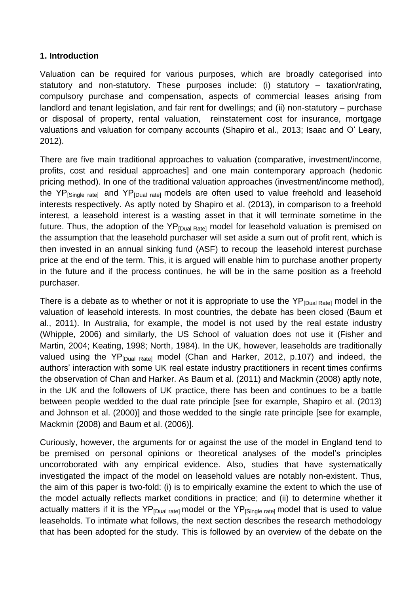#### **1. Introduction**

Valuation can be required for various purposes, which are broadly categorised into statutory and non-statutory. These purposes include: (i) statutory – taxation/rating, compulsory purchase and compensation, aspects of commercial leases arising from landlord and tenant legislation, and fair rent for dwellings; and (ii) non-statutory – purchase or disposal of property, rental valuation, reinstatement cost for insurance, mortgage valuations and valuation for company accounts (Shapiro et al., 2013; Isaac and O' Leary, 2012).

There are five main traditional approaches to valuation (comparative, investment/income, profits, cost and residual approaches] and one main contemporary approach (hedonic pricing method). In one of the traditional valuation approaches (investment/income method), the YP<sub>[Single rate]</sub> and YP<sub>[Dual rate]</sub> models are often used to value freehold and leasehold interests respectively. As aptly noted by Shapiro et al. (2013), in comparison to a freehold interest, a leasehold interest is a wasting asset in that it will terminate sometime in the future. Thus, the adoption of the  $YP_{[Dual Rate]}$  model for leasehold valuation is premised on the assumption that the leasehold purchaser will set aside a sum out of profit rent, which is then invested in an annual sinking fund (ASF) to recoup the leasehold interest purchase price at the end of the term. This, it is argued will enable him to purchase another property in the future and if the process continues, he will be in the same position as a freehold purchaser.

There is a debate as to whether or not it is appropriate to use the  $YP_{IDual RateI}$  model in the valuation of leasehold interests. In most countries, the debate has been closed (Baum et al., 2011). In Australia, for example, the model is not used by the real estate industry (Whipple, 2006) and similarly, the US School of valuation does not use it (Fisher and Martin, 2004; Keating, 1998; North, 1984). In the UK, however, leaseholds are traditionally valued using the  $YP_{[Dual Rate]}$  model (Chan and Harker, 2012, p.107) and indeed, the authors' interaction with some UK real estate industry practitioners in recent times confirms the observation of Chan and Harker. As Baum et al. (2011) and Mackmin (2008) aptly note, in the UK and the followers of UK practice, there has been and continues to be a battle between people wedded to the dual rate principle [see for example, Shapiro et al. (2013) and Johnson et al. (2000)] and those wedded to the single rate principle [see for example, Mackmin (2008) and Baum et al. (2006)].

Curiously, however, the arguments for or against the use of the model in England tend to be premised on personal opinions or theoretical analyses of the model's principles uncorroborated with any empirical evidence. Also, studies that have systematically investigated the impact of the model on leasehold values are notably non-existent. Thus, the aim of this paper is two-fold: (i) is to empirically examine the extent to which the use of the model actually reflects market conditions in practice; and (ii) to determine whether it actually matters if it is the YP<sub>[Dual rate]</sub> model or the YP<sub>[Single rate]</sub> model that is used to value leaseholds. To intimate what follows, the next section describes the research methodology that has been adopted for the study. This is followed by an overview of the debate on the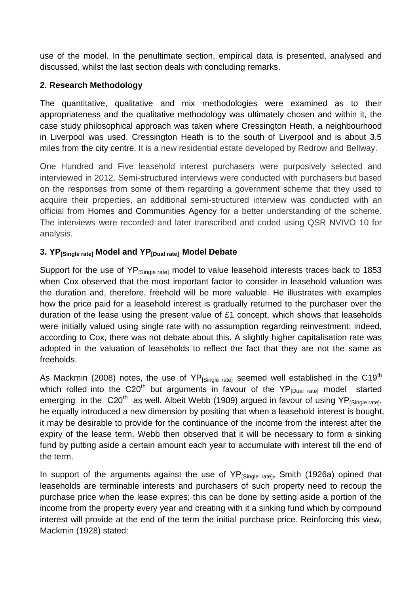use of the model. In the penultimate section, empirical data is presented, analysed and discussed, whilst the last section deals with concluding remarks.

### **2. Research Methodology**

The quantitative, qualitative and mix methodologies were examined as to their appropriateness and the qualitative methodology was ultimately chosen and within it, the case study philosophical approach was taken where Cressington Heath, a neighbourhood in Liverpool was used. Cressington Heath is to the south of Liverpool and is about 3.5 miles from the city centre. It is a new residential estate developed by Redrow and Bellway.

One Hundred and Five leasehold interest purchasers were purposively selected and interviewed in 2012. Semi-structured interviews were conducted with purchasers but based on the responses from some of them regarding a government scheme that they used to acquire their properties, an additional semi-structured interview was conducted with an official from Homes and Communities Agency for a better understanding of the scheme. The interviews were recorded and later transcribed and coded using QSR NVIVO 10 for analysis.

## **3. YP[Single rate] Model and YP[Dual rate] Model Debate**

Support for the use of YP<sub>[Single rate]</sub> model to value leasehold interests traces back to 1853 when Cox observed that the most important factor to consider in leasehold valuation was the duration and, therefore, freehold will be more valuable. He illustrates with examples how the price paid for a leasehold interest is gradually returned to the purchaser over the duration of the lease using the present value of £1 concept, which shows that leaseholds were initially valued using single rate with no assumption regarding reinvestment; indeed, according to Cox, there was not debate about this. A slightly higher capitalisation rate was adopted in the valuation of leaseholds to reflect the fact that they are not the same as freeholds.

As Mackmin (2008) notes, the use of  $YP_{Single\ rate}$  seemed well established in the C19<sup>th</sup> which rolled into the C20<sup>th</sup> but arguments in favour of the YP $_{[Dual\ rate]}$  model started emerging in the C20<sup>th</sup> as well. Albeit Webb (1909) argued in favour of using YP<sub>[Single rate],</sub> he equally introduced a new dimension by positing that when a leasehold interest is bought, it may be desirable to provide for the continuance of the income from the interest after the expiry of the lease term. Webb then observed that it will be necessary to form a sinking fund by putting aside a certain amount each year to accumulate with interest till the end of the term.

In support of the arguments against the use of YP[Single rate]**,** Smith (1926a) opined that leaseholds are terminable interests and purchasers of such property need to recoup the purchase price when the lease expires; this can be done by setting aside a portion of the income from the property every year and creating with it a sinking fund which by compound interest will provide at the end of the term the initial purchase price. Reinforcing this view, Mackmin (1928) stated: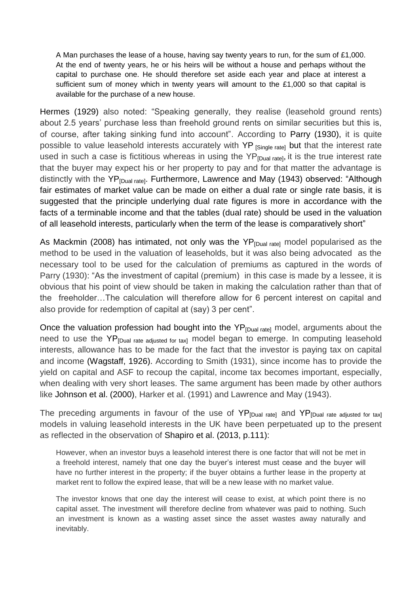A Man purchases the lease of a house, having say twenty years to run, for the sum of £1,000. At the end of twenty years, he or his heirs will be without a house and perhaps without the capital to purchase one. He should therefore set aside each year and place at interest a sufficient sum of money which in twenty years will amount to the  $£1,000$  so that capital is available for the purchase of a new house.

Hermes (1929) also noted: "Speaking generally, they realise (leasehold ground rents) about 2.5 years' purchase less than freehold ground rents on similar securities but this is, of course, after taking sinking fund into account". According to Parry (1930), it is quite possible to value leasehold interests accurately with YP [Single rate] but that the interest rate used in such a case is fictitious whereas in using the  $YP<sub>[Dual</sub> rate]$ , it is the true interest rate that the buyer may expect his or her property to pay and for that matter the advantage is distinctly with the YP<sub>[Dual rate]</sub>. Furthermore, Lawrence and May (1943) observed: "Although fair estimates of market value can be made on either a dual rate or single rate basis, it is suggested that the principle underlying dual rate figures is more in accordance with the facts of a terminable income and that the tables (dual rate) should be used in the valuation of all leasehold interests, particularly when the term of the lease is comparatively short"

As Mackmin (2008) has intimated, not only was the  $YP_{[Dual\ rate]}$  model popularised as the method to be used in the valuation of leaseholds, but it was also being advocated as the necessary tool to be used for the calculation of premiums as captured in the words of Parry (1930): "As the investment of capital (premium) in this case is made by a lessee, it is obvious that his point of view should be taken in making the calculation rather than that of the freeholder…The calculation will therefore allow for 6 percent interest on capital and also provide for redemption of capital at (say) 3 per cent".

Once the valuation profession had bought into the YP<sub>[Dual rate]</sub> model, arguments about the need to use the YP<sub>[Dual rate adjusted for tax]</sub> model began to emerge. In computing leasehold interests, allowance has to be made for the fact that the investor is paying tax on capital and income (Wagstaff, 1926). According to Smith (1931), since income has to provide the yield on capital and ASF to recoup the capital, income tax becomes important, especially, when dealing with very short leases. The same argument has been made by other authors like Johnson et al. (2000), Harker et al. (1991) and Lawrence and May (1943).

The preceding arguments in favour of the use of  $YP_{[Dual\ rate]}$  and  $YP_{[Dual\ rate\ adjusted\ for\ tax]}$ models in valuing leasehold interests in the UK have been perpetuated up to the present as reflected in the observation of Shapiro et al. (2013, p.111):

However, when an investor buys a leasehold interest there is one factor that will not be met in a freehold interest, namely that one day the buyer's interest must cease and the buyer will have no further interest in the property; if the buyer obtains a further lease in the property at market rent to follow the expired lease, that will be a new lease with no market value.

The investor knows that one day the interest will cease to exist, at which point there is no capital asset. The investment will therefore decline from whatever was paid to nothing. Such an investment is known as a wasting asset since the asset wastes away naturally and inevitably.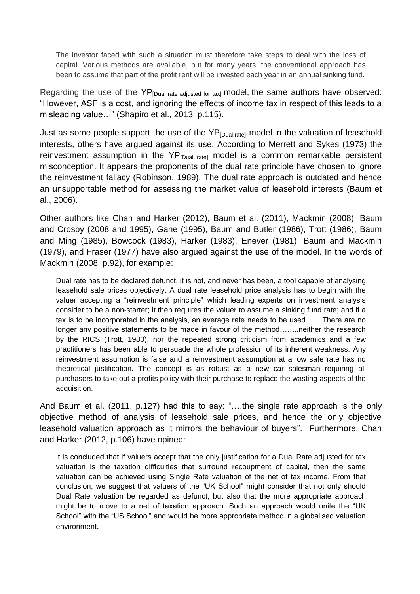The investor faced with such a situation must therefore take steps to deal with the loss of capital. Various methods are available, but for many years, the conventional approach has been to assume that part of the profit rent will be invested each year in an annual sinking fund.

Regarding the use of the YP<sub>[Dual rate adjusted for tax]</sub> model, the same authors have observed: "However, ASF is a cost, and ignoring the effects of income tax in respect of this leads to a misleading value…" (Shapiro et al., 2013, p.115).

Just as some people support the use of the YP<sub>[Dual rate]</sub> model in the valuation of leasehold interests, others have argued against its use. According to Merrett and Sykes (1973) the reinvestment assumption in the  $YP_{\text{IDual rate}}$  model is a common remarkable persistent misconception. It appears the proponents of the dual rate principle have chosen to ignore the reinvestment fallacy (Robinson, 1989). The dual rate approach is outdated and hence an unsupportable method for assessing the market value of leasehold interests (Baum et al., 2006).

Other authors like Chan and Harker (2012), Baum et al. (2011), Mackmin (2008), Baum and Crosby (2008 and 1995), Gane (1995), Baum and Butler (1986), Trott (1986), Baum and Ming (1985), Bowcock (1983), Harker (1983), Enever (1981), Baum and Mackmin (1979), and Fraser (1977) have also argued against the use of the model. In the words of Mackmin (2008, p.92), for example:

Dual rate has to be declared defunct, it is not, and never has been, a tool capable of analysing leasehold sale prices objectively. A dual rate leasehold price analysis has to begin with the valuer accepting a "reinvestment principle" which leading experts on investment analysis consider to be a non-starter; it then requires the valuer to assume a sinking fund rate; and if a tax is to be incorporated in the analysis, an average rate needs to be used…….There are no longer any positive statements to be made in favour of the method……..neither the research by the RICS (Trott, 1980), nor the repeated strong criticism from academics and a few practitioners has been able to persuade the whole profession of its inherent weakness. Any reinvestment assumption is false and a reinvestment assumption at a low safe rate has no theoretical justification. The concept is as robust as a new car salesman requiring all purchasers to take out a profits policy with their purchase to replace the wasting aspects of the acquisition.

And Baum et al. (2011, p.127) had this to say: "….the single rate approach is the only objective method of analysis of leasehold sale prices, and hence the only objective leasehold valuation approach as it mirrors the behaviour of buyers". Furthermore, Chan and Harker (2012, p.106) have opined:

It is concluded that if valuers accept that the only justification for a Dual Rate adjusted for tax valuation is the taxation difficulties that surround recoupment of capital, then the same valuation can be achieved using Single Rate valuation of the net of tax income. From that conclusion, we suggest that valuers of the "UK School" might consider that not only should Dual Rate valuation be regarded as defunct, but also that the more appropriate approach might be to move to a net of taxation approach. Such an approach would unite the "UK School" with the "US School" and would be more appropriate method in a globalised valuation environment.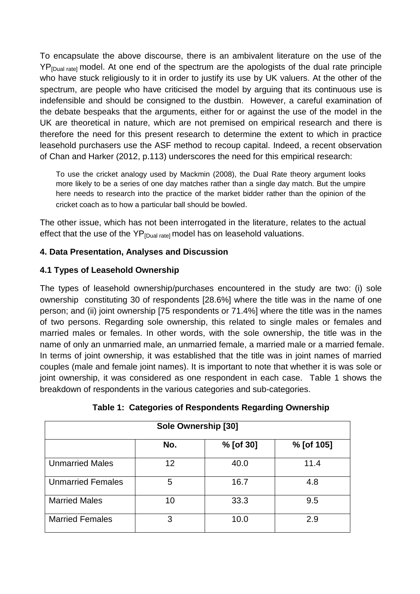To encapsulate the above discourse, there is an ambivalent literature on the use of the YP<sub>[Dual rate]</sub> model. At one end of the spectrum are the apologists of the dual rate principle who have stuck religiously to it in order to justify its use by UK valuers. At the other of the spectrum, are people who have criticised the model by arguing that its continuous use is indefensible and should be consigned to the dustbin. However, a careful examination of the debate bespeaks that the arguments, either for or against the use of the model in the UK are theoretical in nature, which are not premised on empirical research and there is therefore the need for this present research to determine the extent to which in practice leasehold purchasers use the ASF method to recoup capital. Indeed, a recent observation of Chan and Harker (2012, p.113) underscores the need for this empirical research:

To use the cricket analogy used by Mackmin (2008), the Dual Rate theory argument looks more likely to be a series of one day matches rather than a single day match. But the umpire here needs to research into the practice of the market bidder rather than the opinion of the cricket coach as to how a particular ball should be bowled.

The other issue, which has not been interrogated in the literature, relates to the actual effect that the use of the  $YP<sub>[Dual</sub>$  model has on leasehold valuations.

# **4. Data Presentation, Analyses and Discussion**

## **4.1 Types of Leasehold Ownership**

The types of leasehold ownership/purchases encountered in the study are two: (i) sole ownership constituting 30 of respondents [28.6%] where the title was in the name of one person; and (ii) joint ownership [75 respondents or 71.4%] where the title was in the names of two persons. Regarding sole ownership, this related to single males or females and married males or females. In other words, with the sole ownership, the title was in the name of only an unmarried male, an unmarried female, a married male or a married female. In terms of joint ownership, it was established that the title was in joint names of married couples (male and female joint names). It is important to note that whether it is was sole or joint ownership, it was considered as one respondent in each case. Table 1 shows the breakdown of respondents in the various categories and sub-categories.

| Sole Ownership [30]      |     |           |            |
|--------------------------|-----|-----------|------------|
|                          | No. | % [of 30] | % [of 105] |
| <b>Unmarried Males</b>   | 12  | 40.0      | 11.4       |
| <b>Unmarried Females</b> | 5   | 16.7      | 4.8        |
| <b>Married Males</b>     | 10  | 33.3      | 9.5        |
| <b>Married Females</b>   | 3   | 10.0      | 2.9        |

| Table 1: Categories of Respondents Regarding Ownership |  |  |
|--------------------------------------------------------|--|--|
|                                                        |  |  |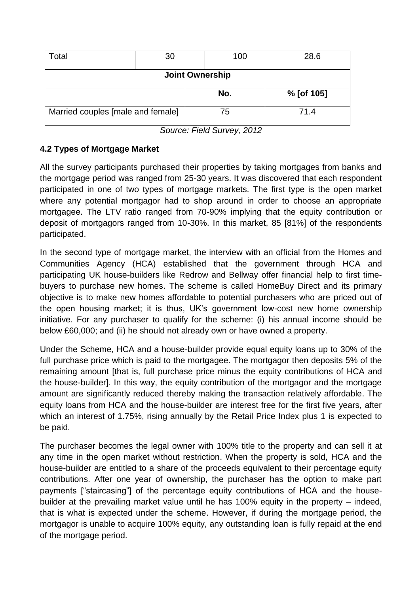| Total                             | 30 | 100 | 28.6       |  |
|-----------------------------------|----|-----|------------|--|
| <b>Joint Ownership</b>            |    |     |            |  |
|                                   |    | No. | % [of 105] |  |
| Married couples [male and female] |    | 75  | 71.4       |  |

*Source: Field Survey, 2012*

## **4.2 Types of Mortgage Market**

All the survey participants purchased their properties by taking mortgages from banks and the mortgage period was ranged from 25-30 years. It was discovered that each respondent participated in one of two types of mortgage markets. The first type is the open market where any potential mortgagor had to shop around in order to choose an appropriate mortgagee. The LTV ratio ranged from 70-90% implying that the equity contribution or deposit of mortgagors ranged from 10-30%. In this market, 85 [81%] of the respondents participated.

In the second type of mortgage market, the interview with an official from the Homes and Communities Agency (HCA) established that the government through HCA and participating UK house-builders like Redrow and Bellway offer financial help to first timebuyers to purchase new homes. The scheme is called HomeBuy Direct and its primary objective is to make new homes affordable to potential purchasers who are priced out of the open housing market; it is thus, UK's government low-cost new home ownership initiative. For any purchaser to qualify for the scheme: (i) his annual income should be below £60,000; and (ii) he should not already own or have owned a property.

Under the Scheme, HCA and a house-builder provide equal equity loans up to 30% of the full purchase price which is paid to the mortgagee. The mortgagor then deposits 5% of the remaining amount [that is, full purchase price minus the equity contributions of HCA and the house-builder]. In this way, the equity contribution of the mortgagor and the mortgage amount are significantly reduced thereby making the transaction relatively affordable. The equity loans from HCA and the house-builder are interest free for the first five years, after which an interest of 1.75%, rising annually by the Retail Price Index plus 1 is expected to be paid.

The purchaser becomes the legal owner with 100% title to the property and can sell it at any time in the open market without restriction. When the property is sold, HCA and the house-builder are entitled to a share of the proceeds equivalent to their percentage equity contributions. After one year of ownership, the purchaser has the option to make part payments ["staircasing"] of the percentage equity contributions of HCA and the housebuilder at the prevailing market value until he has 100% equity in the property – indeed, that is what is expected under the scheme. However, if during the mortgage period, the mortgagor is unable to acquire 100% equity, any outstanding loan is fully repaid at the end of the mortgage period.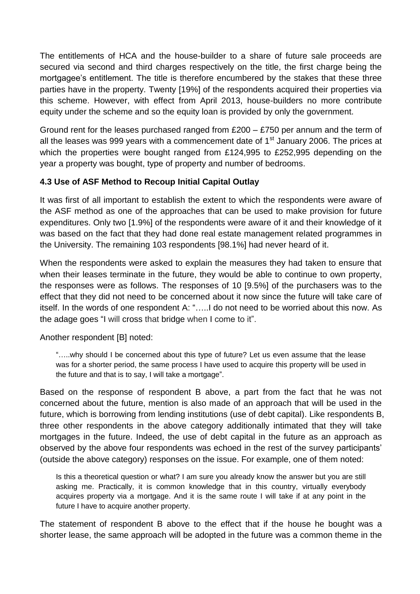The entitlements of HCA and the house-builder to a share of future sale proceeds are secured via second and third charges respectively on the title, the first charge being the mortgagee's entitlement. The title is therefore encumbered by the stakes that these three parties have in the property. Twenty [19%] of the respondents acquired their properties via this scheme. However, with effect from April 2013, house-builders no more contribute equity under the scheme and so the equity loan is provided by only the government.

Ground rent for the leases purchased ranged from £200 – £750 per annum and the term of all the leases was 999 years with a commencement date of  $1<sup>st</sup>$  January 2006. The prices at which the properties were bought ranged from £124,995 to £252,995 depending on the year a property was bought, type of property and number of bedrooms.

# **4.3 Use of ASF Method to Recoup Initial Capital Outlay**

It was first of all important to establish the extent to which the respondents were aware of the ASF method as one of the approaches that can be used to make provision for future expenditures. Only two [1.9%] of the respondents were aware of it and their knowledge of it was based on the fact that they had done real estate management related programmes in the University. The remaining 103 respondents [98.1%] had never heard of it.

When the respondents were asked to explain the measures they had taken to ensure that when their leases terminate in the future, they would be able to continue to own property, the responses were as follows. The responses of 10 [9.5%] of the purchasers was to the effect that they did not need to be concerned about it now since the future will take care of itself. In the words of one respondent A: "…..I do not need to be worried about this now. As the adage goes "I will cross that bridge when I come to it".

Another respondent [B] noted:

"…..why should I be concerned about this type of future? Let us even assume that the lease was for a shorter period, the same process I have used to acquire this property will be used in the future and that is to say, I will take a mortgage".

Based on the response of respondent B above, a part from the fact that he was not concerned about the future, mention is also made of an approach that will be used in the future, which is borrowing from lending institutions (use of debt capital). Like respondents B, three other respondents in the above category additionally intimated that they will take mortgages in the future. Indeed, the use of debt capital in the future as an approach as observed by the above four respondents was echoed in the rest of the survey participants' (outside the above category) responses on the issue. For example, one of them noted:

Is this a theoretical question or what? I am sure you already know the answer but you are still asking me. Practically, it is common knowledge that in this country, virtually everybody acquires property via a mortgage. And it is the same route I will take if at any point in the future I have to acquire another property.

The statement of respondent B above to the effect that if the house he bought was a shorter lease, the same approach will be adopted in the future was a common theme in the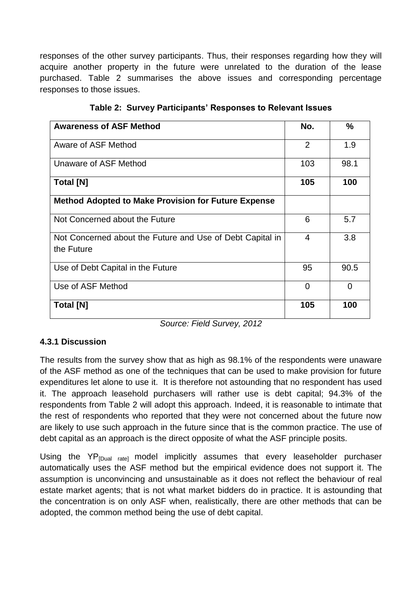responses of the other survey participants. Thus, their responses regarding how they will acquire another property in the future were unrelated to the duration of the lease purchased. Table 2 summarises the above issues and corresponding percentage responses to those issues.

| <b>Awareness of ASF Method</b>                                          | No.      | $\frac{0}{0}$ |
|-------------------------------------------------------------------------|----------|---------------|
| Aware of ASF Method                                                     | 2        | 1.9           |
| Unaware of ASF Method                                                   | 103      | 98.1          |
| <b>Total [N]</b>                                                        | 105      | 100           |
| <b>Method Adopted to Make Provision for Future Expense</b>              |          |               |
| Not Concerned about the Future                                          | 6        | 5.7           |
| Not Concerned about the Future and Use of Debt Capital in<br>the Future | 4        | 3.8           |
| Use of Debt Capital in the Future                                       | 95       | 90.5          |
| Use of ASF Method                                                       | $\Omega$ | $\Omega$      |
| <b>Total [N]</b>                                                        | 105      | 100           |

**Table 2: Survey Participants' Responses to Relevant Issues**

*Source: Field Survey, 2012*

# **4.3.1 Discussion**

The results from the survey show that as high as 98.1% of the respondents were unaware of the ASF method as one of the techniques that can be used to make provision for future expenditures let alone to use it. It is therefore not astounding that no respondent has used it. The approach leasehold purchasers will rather use is debt capital; 94.3% of the respondents from Table 2 will adopt this approach. Indeed, it is reasonable to intimate that the rest of respondents who reported that they were not concerned about the future now are likely to use such approach in the future since that is the common practice. The use of debt capital as an approach is the direct opposite of what the ASF principle posits.

Using the  $YP_{\text{IDual rate}}$  model implicitly assumes that every leaseholder purchaser automatically uses the ASF method but the empirical evidence does not support it. The assumption is unconvincing and unsustainable as it does not reflect the behaviour of real estate market agents; that is not what market bidders do in practice. It is astounding that the concentration is on only ASF when, realistically, there are other methods that can be adopted, the common method being the use of debt capital.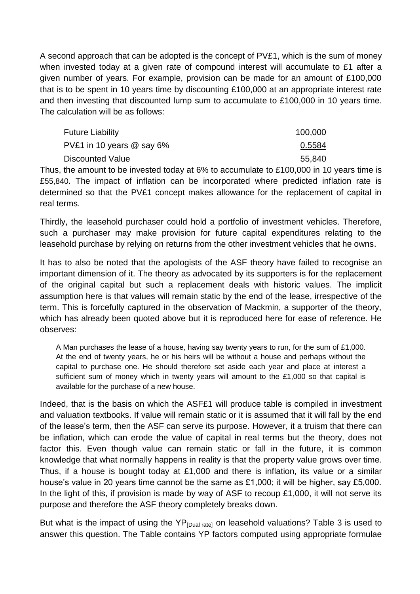A second approach that can be adopted is the concept of PV£1, which is the sum of money when invested today at a given rate of compound interest will accumulate to £1 after a given number of years. For example, provision can be made for an amount of £100,000 that is to be spent in 10 years time by discounting £100,000 at an appropriate interest rate and then investing that discounted lump sum to accumulate to £100,000 in 10 years time. The calculation will be as follows:

| <b>Future Liability</b>     | 100,000 |
|-----------------------------|---------|
| PV£1 in 10 years $@$ say 6% | 0.5584  |
| Discounted Value            | 55,840  |

Thus, the amount to be invested today at 6% to accumulate to £100,000 in 10 years time is £55,840. The impact of inflation can be incorporated where predicted inflation rate is determined so that the PV£1 concept makes allowance for the replacement of capital in real terms.

Thirdly, the leasehold purchaser could hold a portfolio of investment vehicles. Therefore, such a purchaser may make provision for future capital expenditures relating to the leasehold purchase by relying on returns from the other investment vehicles that he owns.

It has to also be noted that the apologists of the ASF theory have failed to recognise an important dimension of it. The theory as advocated by its supporters is for the replacement of the original capital but such a replacement deals with historic values. The implicit assumption here is that values will remain static by the end of the lease, irrespective of the term. This is forcefully captured in the observation of Mackmin, a supporter of the theory, which has already been quoted above but it is reproduced here for ease of reference. He observes:

A Man purchases the lease of a house, having say twenty years to run, for the sum of £1,000. At the end of twenty years, he or his heirs will be without a house and perhaps without the capital to purchase one. He should therefore set aside each year and place at interest a sufficient sum of money which in twenty years will amount to the  $£1,000$  so that capital is available for the purchase of a new house.

Indeed, that is the basis on which the ASF£1 will produce table is compiled in investment and valuation textbooks. If value will remain static or it is assumed that it will fall by the end of the lease's term, then the ASF can serve its purpose. However, it a truism that there can be inflation, which can erode the value of capital in real terms but the theory, does not factor this. Even though value can remain static or fall in the future, it is common knowledge that what normally happens in reality is that the property value grows over time. Thus, if a house is bought today at £1,000 and there is inflation, its value or a similar house's value in 20 years time cannot be the same as £1,000; it will be higher, say £5,000. In the light of this, if provision is made by way of ASF to recoup £1,000, it will not serve its purpose and therefore the ASF theory completely breaks down.

But what is the impact of using the YP<sub>[Dual rate]</sub> on leasehold valuations? Table 3 is used to answer this question. The Table contains YP factors computed using appropriate formulae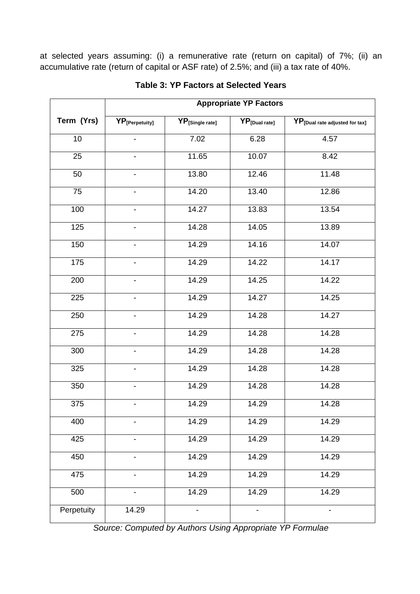at selected years assuming: (i) a remunerative rate (return on capital) of 7%; (ii) an accumulative rate (return of capital or ASF rate) of 2.5%; and (iii) a tax rate of 40%.

|                   | <b>Appropriate YP Factors</b> |                             |                                |                                            |
|-------------------|-------------------------------|-----------------------------|--------------------------------|--------------------------------------------|
| Term (Yrs)        | $YP_{[Perpetuity]}$           | YP <sub>[Single rate]</sub> | $\overline{YP}_{[Dual\ rate]}$ | YP <sub>[Dual rate adjusted for tax]</sub> |
| 10                |                               | 7.02                        | 6.28                           | 4.57                                       |
| $\overline{25}$   |                               | 11.65                       | 10.07                          | 8.42                                       |
| 50                |                               | 13.80                       | 12.46                          | 11.48                                      |
| 75                | -                             | 14.20                       | 13.40                          | 12.86                                      |
| 100               | $\overline{\phantom{a}}$      | 14.27                       | 13.83                          | 13.54                                      |
| 125               | $\overline{\phantom{a}}$      | 14.28                       | 14.05                          | 13.89                                      |
| 150               |                               | 14.29                       | 14.16                          | 14.07                                      |
| $\frac{175}{175}$ |                               | 14.29                       | 14.22                          | 14.17                                      |
| 200               |                               | 14.29                       | 14.25                          | 14.22                                      |
| 225               |                               | 14.29                       | 14.27                          | 14.25                                      |
| 250               |                               | 14.29                       | 14.28                          | 14.27                                      |
| 275               | $\overline{\phantom{a}}$      | 14.29                       | 14.28                          | 14.28                                      |
| 300               |                               | 14.29                       | 14.28                          | 14.28                                      |
| 325               |                               | 14.29                       | 14.28                          | 14.28                                      |
| 350               | $\overline{\phantom{a}}$      | 14.29                       | 14.28                          | 14.28                                      |
| 375               |                               | 14.29                       | 14.29                          | 14.28                                      |
| 400               |                               | 14.29                       | 14.29                          | 14.29                                      |
| 425               |                               | 14.29                       | 14.29                          | 14.29                                      |
| 450               |                               | 14.29                       | 14.29                          | 14.29                                      |
| 475               |                               | 14.29                       | 14.29                          | 14.29                                      |
| 500               | -                             | 14.29                       | 14.29                          | 14.29                                      |
| Perpetuity        | 14.29                         | $\overline{\phantom{0}}$    | $\overline{\phantom{0}}$       | $\overline{\phantom{a}}$                   |

**Table 3: YP Factors at Selected Years**

*Source: Computed by Authors Using Appropriate YP Formulae*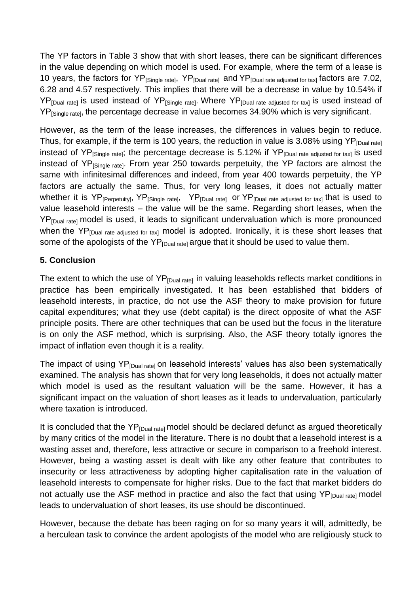The YP factors in Table 3 show that with short leases, there can be significant differences in the value depending on which model is used. For example, where the term of a lease is 10 years, the factors for YP[Single rate],YP[Dual rate]and YP[Dual rate adjusted for tax] factors are 7.02, 6.28 and 4.57 respectively. This implies that there will be a decrease in value by 10.54% if YP<sub>[Dual rate]</sub> is used instead of YP<sub>[Single rate]</sub>. Where YP<sub>[Dual rate adjusted for tax]</sub> is used instead of YP<sub>[Single rate]</sub>, the percentage decrease in value becomes 34.90% which is very significant.

However, as the term of the lease increases, the differences in values begin to reduce. Thus, for example, if the term is 100 years, the reduction in value is 3.08% using  $YP_{\text{IDual ratel}}$ instead of YP<sub>[Single rate]</sub>; the percentage decrease is 5.12% if YP<sub>[Dual rate adjusted for tax]</sub> is used instead of  $YP_{ISinole\; rate}$ . From year 250 towards perpetuity, the YP factors are almost the same with infinitesimal differences and indeed, from year 400 towards perpetuity, the YP factors are actually the same. Thus, for very long leases, it does not actually matter whether it is YP<sub>[Perpetuity], YP<sub>[Single rate], YP<sub>[Dual rate]</sub> or YP<sub>[Dual rate adjusted for tax]</sub> that is used to</sub></sub> value leasehold interests – the value will be the same. Regarding short leases, when the YP<sub>[Dual rate]</sub> model is used, it leads to significant undervaluation which is more pronounced when the YP<sub>[Dual rate adjusted for tax]</sub> model is adopted. Ironically, it is these short leases that some of the apologists of the  $YP_{\text{[Dual rate]}}$  argue that it should be used to value them.

# **5. Conclusion**

The extent to which the use of YP<sub>[Dual rate]</sub> in valuing leaseholds reflects market conditions in practice has been empirically investigated. It has been established that bidders of leasehold interests, in practice, do not use the ASF theory to make provision for future capital expenditures; what they use (debt capital) is the direct opposite of what the ASF principle posits. There are other techniques that can be used but the focus in the literature is on only the ASF method, which is surprising. Also, the ASF theory totally ignores the impact of inflation even though it is a reality.

The impact of using YP<sub>[Dual rate]</sub> on leasehold interests' values has also been systematically examined. The analysis has shown that for very long leaseholds, it does not actually matter which model is used as the resultant valuation will be the same. However, it has a significant impact on the valuation of short leases as it leads to undervaluation, particularly where taxation is introduced.

It is concluded that the  $YP<sub>[Dual rate]</sub>$  model should be declared defunct as argued theoretically by many critics of the model in the literature. There is no doubt that a leasehold interest is a wasting asset and, therefore, less attractive or secure in comparison to a freehold interest. However, being a wasting asset is dealt with like any other feature that contributes to insecurity or less attractiveness by adopting higher capitalisation rate in the valuation of leasehold interests to compensate for higher risks. Due to the fact that market bidders do not actually use the ASF method in practice and also the fact that using  $YP<sub>[Dual</sub> rate]$  model leads to undervaluation of short leases, its use should be discontinued.

However, because the debate has been raging on for so many years it will, admittedly, be a herculean task to convince the ardent apologists of the model who are religiously stuck to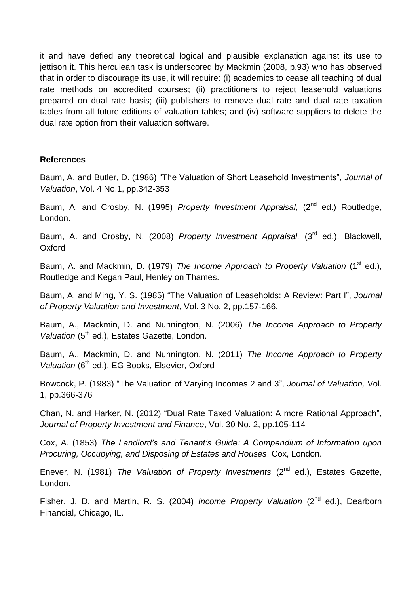it and have defied any theoretical logical and plausible explanation against its use to jettison it. This herculean task is underscored by Mackmin (2008, p.93) who has observed that in order to discourage its use, it will require: (i) academics to cease all teaching of dual rate methods on accredited courses; (ii) practitioners to reject leasehold valuations prepared on dual rate basis; (iii) publishers to remove dual rate and dual rate taxation tables from all future editions of valuation tables; and (iv) software suppliers to delete the dual rate option from their valuation software.

#### **References**

Baum, A. and Butler, D. (1986) "The Valuation of Short Leasehold Investments", *Journal of Valuation*, Vol. 4 No.1, pp.342-353

Baum, A. and Crosby, N. (1995) *Property Investment Appraisal,* (2nd ed.) Routledge, London.

Baum, A. and Crosby, N. (2008) *Property Investment Appraisal,* (3rd ed.), Blackwell, Oxford

Baum, A. and Mackmin, D. (1979) *The Income Approach to Property Valuation* (1<sup>st</sup> ed.), Routledge and Kegan Paul, Henley on Thames.

Baum, A. and Ming, Y. S. (1985) "The Valuation of Leaseholds: A Review: Part I", *Journal of Property Valuation and Investment*, Vol. 3 No. 2, pp.157-166.

Baum, A., Mackmin, D. and Nunnington, N. (2006) *The Income Approach to Property Valuation* (5<sup>th</sup> ed.), Estates Gazette, London.

Baum, A., Mackmin, D. and Nunnington, N. (2011) *The Income Approach to Property*  Valuation (6<sup>th</sup> ed.), EG Books, Elsevier, Oxford

Bowcock, P. (1983) "The Valuation of Varying Incomes 2 and 3", *Journal of Valuation,* Vol. 1, pp.366-376

Chan, N. and Harker, N. (2012) "Dual Rate Taxed Valuation: A more Rational Approach", *Journal of Property Investment and Finance*, Vol. 30 No. 2, pp.105-114

Cox, A. (1853) *The Landlord's and Tenant's Guide: A Compendium of Information upon Procuring, Occupying, and Disposing of Estates and Houses*, Cox, London.

Enever, N. (1981) *The Valuation of Property Investments* (2nd ed.), Estates Gazette, London.

Fisher, J. D. and Martin, R. S. (2004) *Income Property Valuation* (2<sup>nd</sup> ed.), Dearborn Financial, Chicago, IL.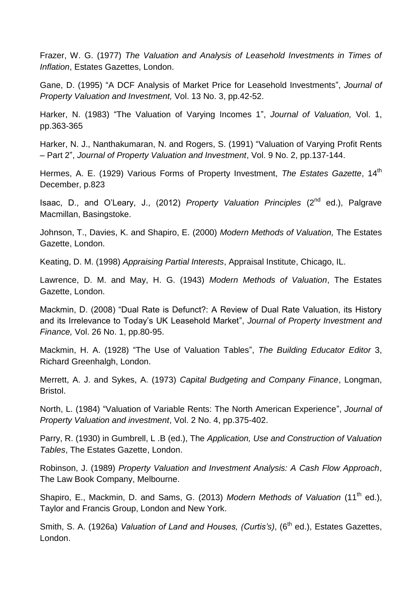Frazer, W. G. (1977) *The Valuation and Analysis of Leasehold Investments in Times of Inflation*, Estates Gazettes, London.

Gane, D. (1995) "A DCF Analysis of Market Price for Leasehold Investments", *Journal of Property Valuation and Investment,* Vol. 13 No. 3, pp.42-52.

Harker, N. (1983) "The Valuation of Varying Incomes 1", *Journal of Valuation,* Vol. 1, pp.363-365

Harker, N. J., Nanthakumaran, N. and Rogers, S. (1991) "Valuation of Varying Profit Rents – Part 2", *Journal of Property Valuation and Investment*, Vol. 9 No. 2, pp.137-144.

Hermes, A. E. (1929) Various Forms of Property Investment, *The Estates Gazette*, 14<sup>th</sup> December, p.823

Isaac, D., and O'Leary, J., (2012) *Property Valuation Principles* (2nd ed.), Palgrave Macmillan, Basingstoke.

Johnson, T., Davies, K. and Shapiro, E. (2000) *Modern Methods of Valuation,* The Estates Gazette, London.

Keating, D. M. (1998) *Appraising Partial Interests*, Appraisal Institute, Chicago, IL.

Lawrence, D. M. and May, H. G. (1943) *Modern Methods of Valuation*, The Estates Gazette, London.

Mackmin, D. (2008) "Dual Rate is Defunct?: A Review of Dual Rate Valuation, its History and its Irrelevance to Today's UK Leasehold Market", *Journal of Property Investment and Finance,* Vol. 26 No. 1, pp.80-95.

Mackmin, H. A. (1928) "The Use of Valuation Tables", *The Building Educator Editor* 3, Richard Greenhalgh, London.

Merrett, A. J. and Sykes, A. (1973) *Capital Budgeting and Company Finance*, Longman, Bristol.

North, L. (1984) "Valuation of Variable Rents: The North American Experience", *Journal of Property Valuation and investment*, Vol. 2 No. 4, pp.375-402.

Parry, R. (1930) in Gumbrell, L .B (ed.), The *Application, Use and Construction of Valuation Tables*, The Estates Gazette, London.

Robinson, J. (1989) *Property Valuation and Investment Analysis: A Cash Flow Approach*, The Law Book Company, Melbourne.

Shapiro, E., Mackmin, D. and Sams, G. (2013) *Modern Methods of Valuation* (11<sup>th</sup> ed.), Taylor and Francis Group, London and New York.

Smith, S. A. (1926a) *Valuation of Land and Houses, (Curtis's)*, (6<sup>th</sup> ed.), Estates Gazettes, London.